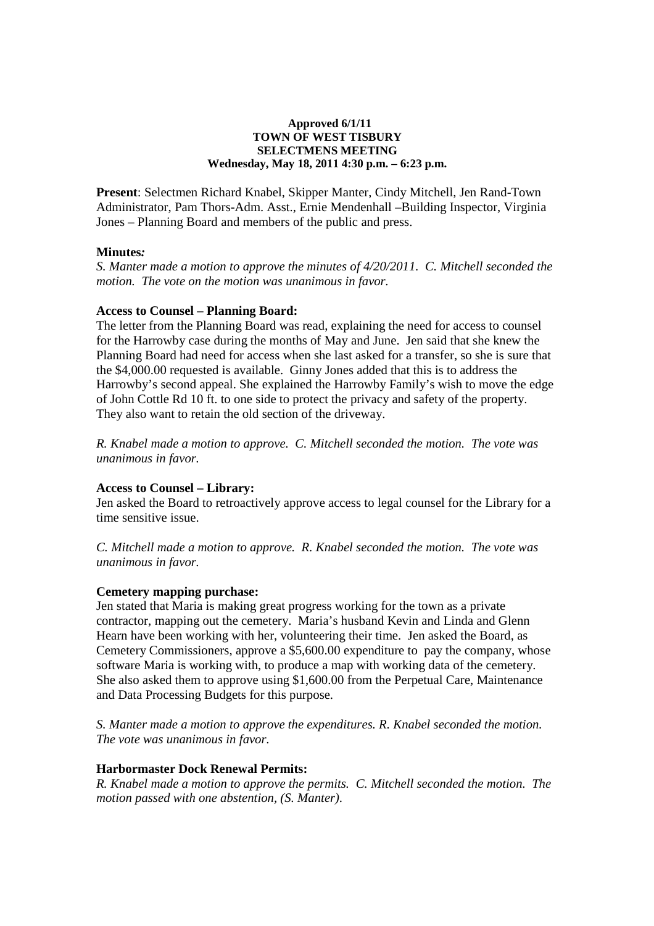# **Approved 6/1/11 TOWN OF WEST TISBURY SELECTMENS MEETING Wednesday, May 18, 2011 4:30 p.m. – 6:23 p.m.**

**Present**: Selectmen Richard Knabel, Skipper Manter, Cindy Mitchell, Jen Rand-Town Administrator, Pam Thors-Adm. Asst., Ernie Mendenhall –Building Inspector, Virginia Jones – Planning Board and members of the public and press.

# **Minutes***:*

*S. Manter made a motion to approve the minutes of 4/20/2011. C. Mitchell seconded the motion. The vote on the motion was unanimous in favor.* 

# **Access to Counsel – Planning Board:**

The letter from the Planning Board was read, explaining the need for access to counsel for the Harrowby case during the months of May and June. Jen said that she knew the Planning Board had need for access when she last asked for a transfer, so she is sure that the \$4,000.00 requested is available. Ginny Jones added that this is to address the Harrowby's second appeal. She explained the Harrowby Family's wish to move the edge of John Cottle Rd 10 ft. to one side to protect the privacy and safety of the property. They also want to retain the old section of the driveway.

*R. Knabel made a motion to approve. C. Mitchell seconded the motion. The vote was unanimous in favor.* 

# **Access to Counsel – Library:**

Jen asked the Board to retroactively approve access to legal counsel for the Library for a time sensitive issue.

*C. Mitchell made a motion to approve. R. Knabel seconded the motion. The vote was unanimous in favor.* 

# **Cemetery mapping purchase:**

Jen stated that Maria is making great progress working for the town as a private contractor, mapping out the cemetery. Maria's husband Kevin and Linda and Glenn Hearn have been working with her, volunteering their time. Jen asked the Board, as Cemetery Commissioners, approve a \$5,600.00 expenditure to pay the company, whose software Maria is working with, to produce a map with working data of the cemetery. She also asked them to approve using \$1,600.00 from the Perpetual Care, Maintenance and Data Processing Budgets for this purpose.

*S. Manter made a motion to approve the expenditures. R. Knabel seconded the motion. The vote was unanimous in favor.* 

# **Harbormaster Dock Renewal Permits:**

*R. Knabel made a motion to approve the permits. C. Mitchell seconded the motion. The motion passed with one abstention, (S. Manter).*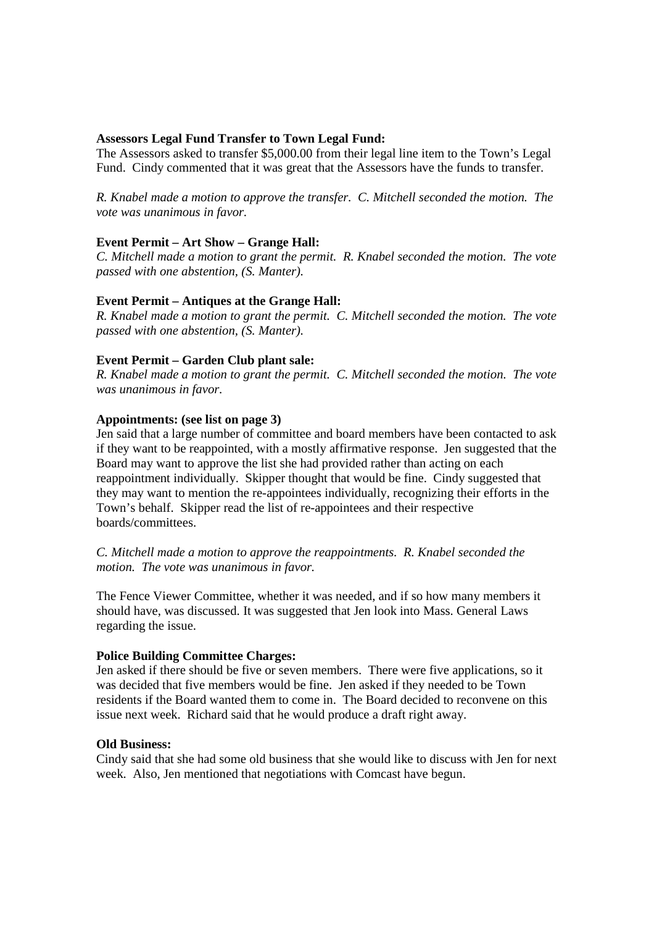# **Assessors Legal Fund Transfer to Town Legal Fund:**

The Assessors asked to transfer \$5,000.00 from their legal line item to the Town's Legal Fund. Cindy commented that it was great that the Assessors have the funds to transfer.

*R. Knabel made a motion to approve the transfer. C. Mitchell seconded the motion. The vote was unanimous in favor.* 

# **Event Permit – Art Show – Grange Hall:**

*C. Mitchell made a motion to grant the permit. R. Knabel seconded the motion. The vote passed with one abstention, (S. Manter).* 

# **Event Permit – Antiques at the Grange Hall:**

*R. Knabel made a motion to grant the permit. C. Mitchell seconded the motion. The vote passed with one abstention, (S. Manter).* 

# **Event Permit – Garden Club plant sale:**

*R. Knabel made a motion to grant the permit. C. Mitchell seconded the motion. The vote was unanimous in favor.* 

# **Appointments: (see list on page 3)**

Jen said that a large number of committee and board members have been contacted to ask if they want to be reappointed, with a mostly affirmative response. Jen suggested that the Board may want to approve the list she had provided rather than acting on each reappointment individually. Skipper thought that would be fine. Cindy suggested that they may want to mention the re-appointees individually, recognizing their efforts in the Town's behalf. Skipper read the list of re-appointees and their respective boards/committees.

*C. Mitchell made a motion to approve the reappointments. R. Knabel seconded the motion. The vote was unanimous in favor.* 

The Fence Viewer Committee, whether it was needed, and if so how many members it should have, was discussed. It was suggested that Jen look into Mass. General Laws regarding the issue.

# **Police Building Committee Charges:**

Jen asked if there should be five or seven members. There were five applications, so it was decided that five members would be fine. Jen asked if they needed to be Town residents if the Board wanted them to come in. The Board decided to reconvene on this issue next week. Richard said that he would produce a draft right away.

# **Old Business:**

Cindy said that she had some old business that she would like to discuss with Jen for next week. Also, Jen mentioned that negotiations with Comcast have begun.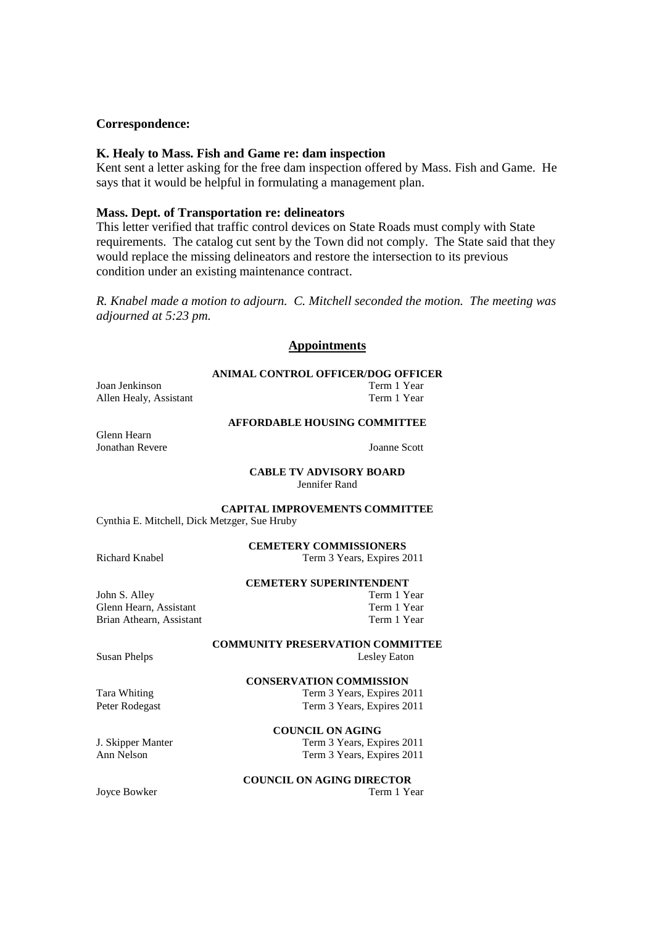# **Correspondence:**

#### **K. Healy to Mass. Fish and Game re: dam inspection**

Kent sent a letter asking for the free dam inspection offered by Mass. Fish and Game. He says that it would be helpful in formulating a management plan.

#### **Mass. Dept. of Transportation re: delineators**

This letter verified that traffic control devices on State Roads must comply with State requirements. The catalog cut sent by the Town did not comply. The State said that they would replace the missing delineators and restore the intersection to its previous condition under an existing maintenance contract.

*R. Knabel made a motion to adjourn. C. Mitchell seconded the motion. The meeting was adjourned at 5:23 pm.*

#### **Appointments**

#### **ANIMAL CONTROL OFFICER/DOG OFFICER**

Joan Jenkinson Term 1 Year Allen Healy, Assistant Term 1 Year

# **AFFORDABLE HOUSING COMMITTEE**

Glenn Hearn Jonathan Revere Joanne Scott

**CABLE TV ADVISORY BOARD**  Jennifer Rand

**CAPITAL IMPROVEMENTS COMMITTEE** 

Cynthia E. Mitchell, Dick Metzger, Sue Hruby

**CEMETERY COMMISSIONERS** 

Richard Knabel Term 3 Years, Expires 2011

**CEMETERY SUPERINTENDENT** 

John S. Alley Glenn Hearn, Assistant Term 1 Year<br>Brian Athearn, Assistant Term 1 Year<br>Term 1 Year Brian Athearn, Assistant

**COMMUNITY PRESERVATION COMMITTEE**  Susan Phelps Lesley Eaton

**CONSERVATION COMMISSION** 

Tara Whiting Term 3 Years, Expires 2011<br>
Peter Rodegast Term 3 Years, Expires 2011

**COUNCIL ON AGING**  J. Skipper Manter Term 3 Years, Expires 2011 Ann Nelson Term 3 Years, Expires 2011

Term 3 Years, Expires 2011

**COUNCIL ON AGING DIRECTOR** 

Joyce Bowker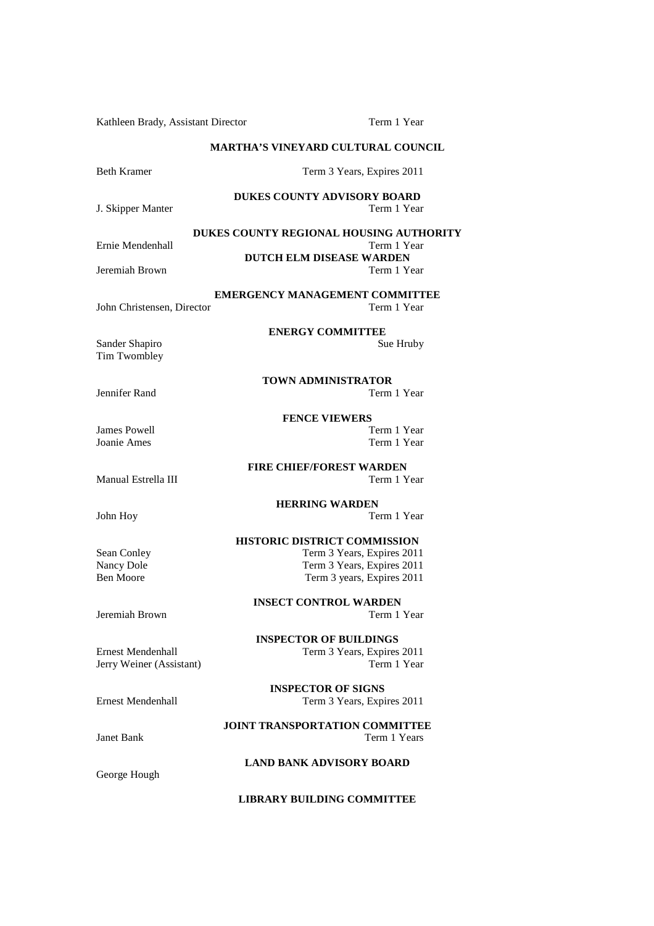Kathleen Brady, Assistant Director Term 1 Year **MARTHA'S VINEYARD CULTURAL COUNCIL**  Beth Kramer Term 3 Years, Expires 2011 **DUKES COUNTY ADVISORY BOARD**<br>Term 1 Year J. Skipper Manter **DUKES COUNTY REGIONAL HOUSING AUTHORITY** Ernie Mendenhall **DUTCH ELM DISEASE WARDEN**<br>Term 1 Year Jeremiah Brown **EMERGENCY MANAGEMENT COMMITTEE**  John Christensen, Director **ENERGY COMMITTEE**<br>Sue Hruby Sander Shapiro Tim Twombley **TOWN ADMINISTRATOR**  Jennifer Rand **FENCE VIEWERS**<br>Term 1 Year James Powell<br>Joanie Ames Term 1 Year **FIRE CHIEF/FOREST WARDEN**  Manual Estrella III and the contract of the Term 1 Year **HERRING WARDEN**  John Hoy Term 1 Year **HISTORIC DISTRICT COMMISSION**  Sean Conley<br>
Term 3 Years, Expires 2011<br>
Term 3 Years, Expires 2011<br>
Term 3 Years, Expires 2011 Term 3 Years, Expires 2011 Ben Moore Term 3 years, Expires 2011 **INSECT CONTROL WARDEN**  Jeremiah Brown Term 1 Year **INSPECTOR OF BUILDINGS**  Ernest Mendenhall Term 3 Years, Expires 2011 Jerry Weiner (Assistant) Term 1 Year **INSPECTOR OF SIGNS**  Ernest Mendenhall Term 3 Years, Expires 2011 **JOINT TRANSPORTATION COMMITTEE**  Janet Bank Term 1 Years **LAND BANK ADVISORY BOARD** 

**LIBRARY BUILDING COMMITTEE** 

George Hough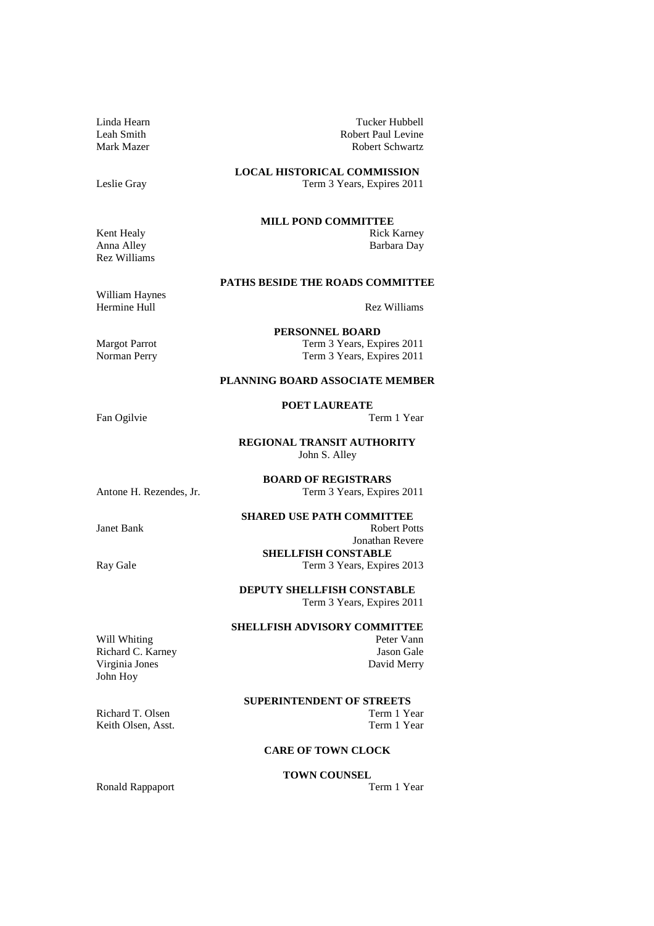Linda Hearn Tucker Hubbell Leah Smith Robert Paul Levine Mark Mazer Robert Schwartz

**LOCAL HISTORICAL COMMISSION**  Leslie Gray Term 3 Years, Expires 2011

**MILL POND COMMITTEE**

**PATHS BESIDE THE ROADS COMMITTEE** 

Kent Healy Rick Karney Anna Alley Barbara Day Rez Williams

William Haynes Hermine Hull Rez Williams

Term 3 Years, Expires 2011

Margot Parrot Term 3 Years, Expires 2011<br>
Norman Perry Term 3 Years, Expires 2011

#### **PLANNING BOARD ASSOCIATE MEMBER**

**PERSONNEL BOARD** 

**POET LAUREATE** 

**REGIONAL TRANSIT AUTHORITY**  John S. Alley

**BOARD OF REGISTRARS**  Antone H. Rezendes, Jr. Term 3 Years, Expires 2011

# **SHARED USE PATH COMMITTEE**

**Janet Bank** Robert Potts Jonathan Revere **SHELLFISH CONSTABLE**  Ray Gale Term 3 Years, Expires 2013

> **DEPUTY SHELLFISH CONSTABLE**  Term 3 Years, Expires 2011

#### **SHELLFISH ADVISORY COMMITTEE**

Will Whiting Peter Vann Richard C. Karney Jason Gale Virginia Jones David Merry John Hoy

#### **SUPERINTENDENT OF STREETS**

Richard T. Olsen Term 1 Year Keith Olsen, Asst. Term 1 Year

#### **CARE OF TOWN CLOCK**

# **TOWN COUNSEL**

Ronald Rappaport

Fan Ogilvie